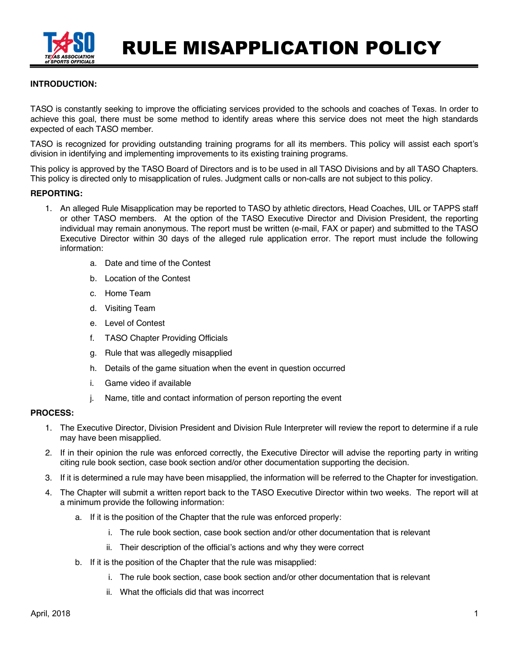

RULE MISAPPLICATION POLICY

## **INTRODUCTION:**

TASO is constantly seeking to improve the officiating services provided to the schools and coaches of Texas. In order to achieve this goal, there must be some method to identify areas where this service does not meet the high standards expected of each TASO member.

TASO is recognized for providing outstanding training programs for all its members. This policy will assist each sport's division in identifying and implementing improvements to its existing training programs.

This policy is approved by the TASO Board of Directors and is to be used in all TASO Divisions and by all TASO Chapters. This policy is directed only to misapplication of rules. Judgment calls or non-calls are not subject to this policy.

### **REPORTING:**

- 1. An alleged Rule Misapplication may be reported to TASO by athletic directors, Head Coaches, UIL or TAPPS staff or other TASO members. At the option of the TASO Executive Director and Division President, the reporting individual may remain anonymous. The report must be written (e-mail, FAX or paper) and submitted to the TASO Executive Director within 30 days of the alleged rule application error. The report must include the following information:
	- a. Date and time of the Contest
	- b. Location of the Contest
	- c. Home Team
	- d. Visiting Team
	- e. Level of Contest
	- f. TASO Chapter Providing Officials
	- g. Rule that was allegedly misapplied
	- h. Details of the game situation when the event in question occurred
	- i. Game video if available
	- j. Name, title and contact information of person reporting the event

#### **PROCESS:**

- 1. The Executive Director, Division President and Division Rule Interpreter will review the report to determine if a rule may have been misapplied.
- 2. If in their opinion the rule was enforced correctly, the Executive Director will advise the reporting party in writing citing rule book section, case book section and/or other documentation supporting the decision.
- 3. If it is determined a rule may have been misapplied, the information will be referred to the Chapter for investigation.
- 4. The Chapter will submit a written report back to the TASO Executive Director within two weeks. The report will at a minimum provide the following information:
	- a. If it is the position of the Chapter that the rule was enforced properly:
		- i. The rule book section, case book section and/or other documentation that is relevant
		- ii. Their description of the official's actions and why they were correct
	- b. If it is the position of the Chapter that the rule was misapplied:
		- i. The rule book section, case book section and/or other documentation that is relevant
		- ii. What the officials did that was incorrect